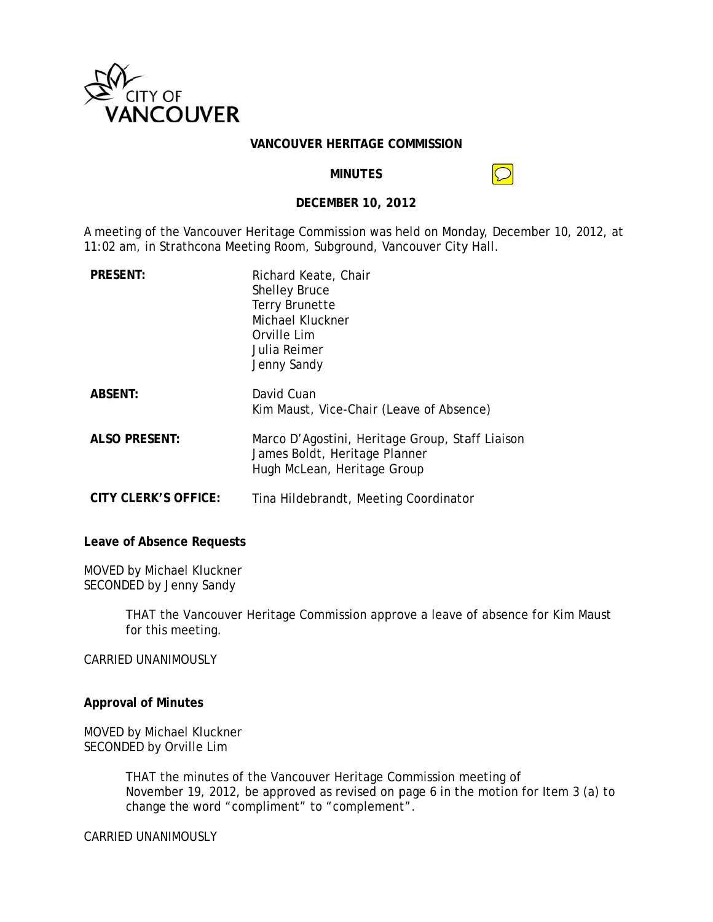

#### **VANCOUVER HERITAGE COMMISSION**

#### **MINUTES**

#### **DECEMBER 10, 2012**

A meeting of the Vancouver Heritage Commission was held on Monday, December 10, 2012, at 11:02 am, in Strathcona Meeting Room, Subground, Vancouver City Hall.

| <b>PRESENT:</b>      | Richard Keate, Chair<br><b>Shelley Bruce</b><br><b>Terry Brunette</b><br>Michael Kluckner<br>Orville Lim<br>Julia Reimer<br>Jenny Sandy |
|----------------------|-----------------------------------------------------------------------------------------------------------------------------------------|
| <b>ABSENT:</b>       | David Cuan<br>Kim Maust, Vice-Chair (Leave of Absence)                                                                                  |
| <b>ALSO PRESENT:</b> | Marco D'Agostini, Heritage Group, Staff Liaison<br>James Boldt, Heritage Planner<br>Hugh McLean, Heritage Group                         |
| CITY CLERK'S OFFICE: | Tina Hildebrandt, Meeting Coordinator                                                                                                   |

Leave of Absence Requests

MOVED by Michael Kluckner SECONDED by Jenny Sandy

> THAT the Vancouver Heritage Commission approve a leave of absence for Kim Maust for this meeting.

CARRIED UNANIMOUSLY

## **Approval of Minutes**

MOVED by Michael Kluckner SECONDED by Orville Lim

> THAT the minutes of the Vancouver Heritage Commission meeting of November 19, 2012, be approved as revised on page 6 in the motion for Item 3 (a) to change the word "compliment" to "complement".

**CARRIED UNANIMOUSLY**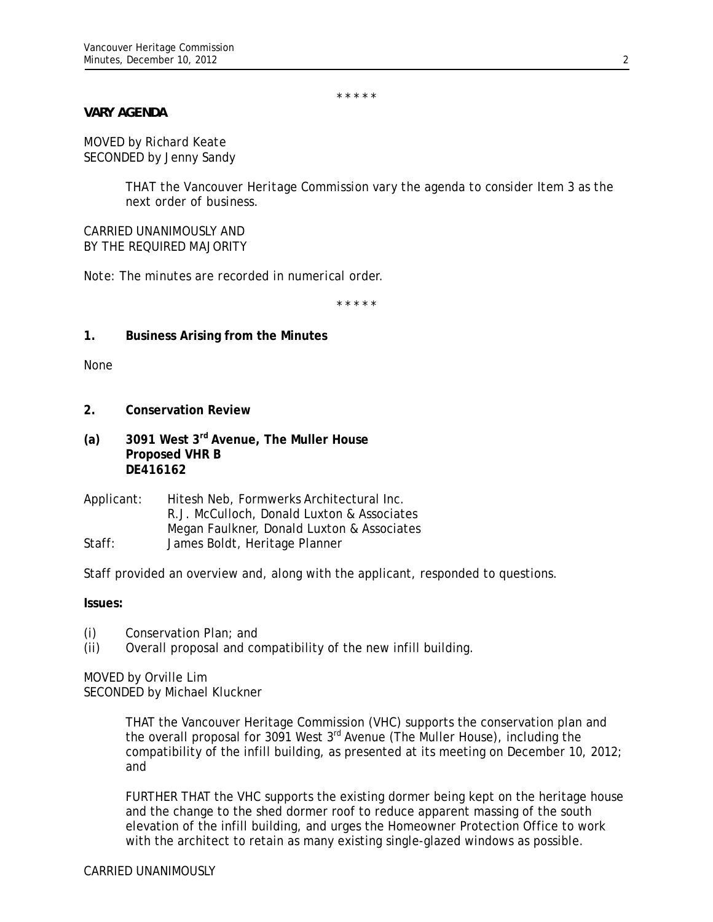*\* \* \* \* \** 

## *VARY AGENDA*

*MOVED by Richard Keate SECONDED by Jenny Sandy* 

> *THAT the Vancouver Heritage Commission vary the agenda to consider Item 3 as the next order of business.*

*CARRIED UNANIMOUSLY AND BY THE REQUIRED MAJORITY* 

*Note: The minutes are recorded in numerical order.* 

*\* \* \* \* \** 

**1. Business Arising from the Minutes** 

None

- **2. Conservation Review**
- **(a) 3091 West 3rd Avenue, The Muller House Proposed VHR B DE416162**
- Applicant: Hitesh Neb, Formwerks Architectural Inc. R.J. McCulloch, Donald Luxton & Associates Megan Faulkner, Donald Luxton & Associates Staff: James Boldt, Heritage Planner

Staff provided an overview and, along with the applicant, responded to questions.

**Issues:**

- (i) Conservation Plan; and
- (ii) Overall proposal and compatibility of the new infill building.

MOVED by Orville Lim SECONDED by Michael Kluckner

> THAT the Vancouver Heritage Commission (VHC) supports the conservation plan and the overall proposal for 3091 West 3<sup>rd</sup> Avenue (The Muller House), including the compatibility of the infill building, as presented at its meeting on December 10, 2012; and

> FURTHER THAT the VHC supports the existing dormer being kept on the heritage house and the change to the shed dormer roof to reduce apparent massing of the south elevation of the infill building, and urges the Homeowner Protection Office to work with the architect to retain as many existing single-glazed windows as possible.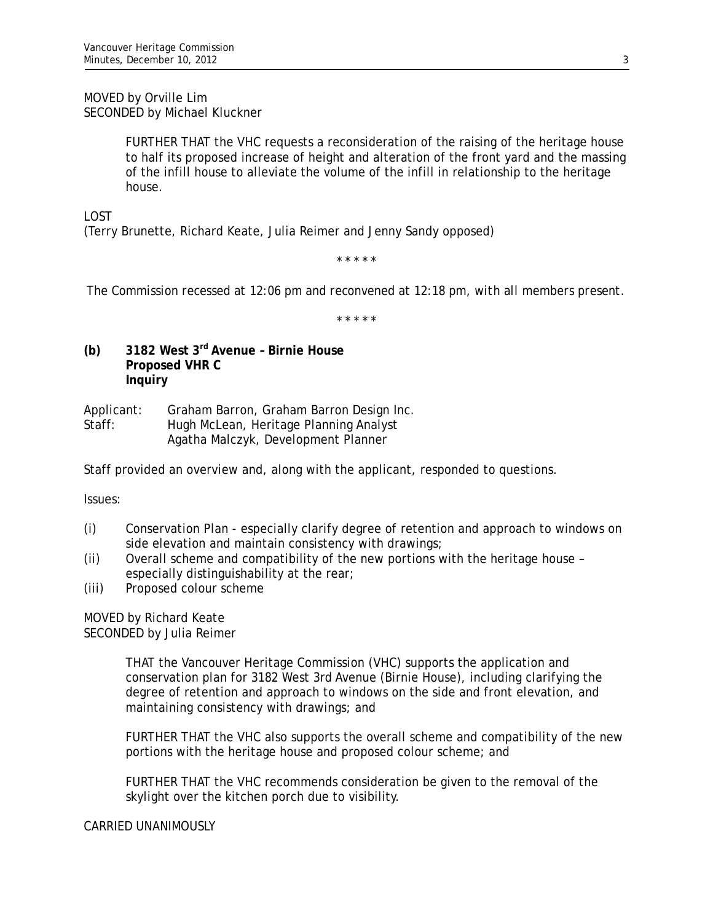MOVED by Orville Lim SECONDED by Michael Kluckner

> FURTHER THAT the VHC requests a reconsideration of the raising of the heritage house to half its proposed increase of height and alteration of the front yard and the massing of the infill house to alleviate the volume of the infill in relationship to the heritage house.

LOST

(Terry Brunette, Richard Keate, Julia Reimer and Jenny Sandy opposed)

*\* \* \* \* \** 

*The Commission recessed at 12:06 pm and reconvened at 12:18 pm, with all members present.* 

*\* \* \* \* \** 

**(b) 3182 West 3rd Avenue – Birnie House Proposed VHR C Inquiry** 

Applicant: Graham Barron, Graham Barron Design Inc. Staff: Hugh McLean, Heritage Planning Analyst Agatha Malczyk, Development Planner

Staff provided an overview and, along with the applicant, responded to questions.

Issues:

- (i) Conservation Plan especially clarify degree of retention and approach to windows on side elevation and maintain consistency with drawings;
- (ii) Overall scheme and compatibility of the new portions with the heritage house especially distinguishability at the rear;
- (iii) Proposed colour scheme

MOVED by Richard Keate SECONDED by Julia Reimer

> THAT the Vancouver Heritage Commission (VHC) supports the application and conservation plan for 3182 West 3rd Avenue (Birnie House), including clarifying the degree of retention and approach to windows on the side and front elevation, and maintaining consistency with drawings; and

FURTHER THAT the VHC also supports the overall scheme and compatibility of the new portions with the heritage house and proposed colour scheme; and

FURTHER THAT the VHC recommends consideration be given to the removal of the skylight over the kitchen porch due to visibility.

CARRIED UNANIMOUSLY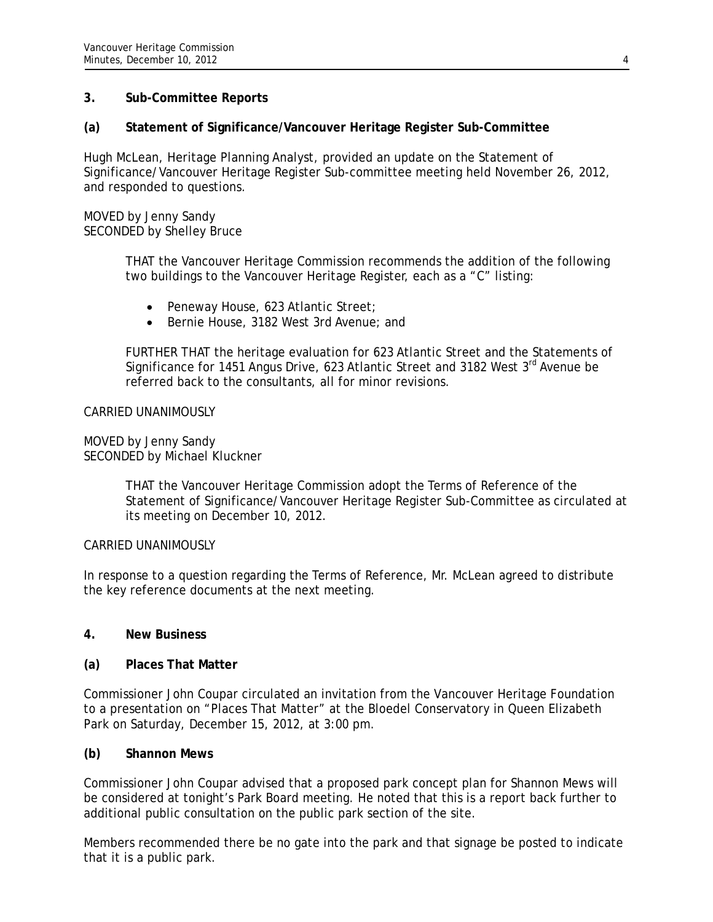## **3. Sub-Committee Reports**

# **(a) Statement of Significance/Vancouver Heritage Register Sub-Committee**

Hugh McLean, Heritage Planning Analyst, provided an update on the Statement of Significance/Vancouver Heritage Register Sub-committee meeting held November 26, 2012, and responded to questions.

#### MOVED by Jenny Sandy SECONDED by Shelley Bruce

THAT the Vancouver Heritage Commission recommends the addition of the following two buildings to the Vancouver Heritage Register, each as a "C" listing:

- Peneway House, 623 Atlantic Street;
- Bernie House, 3182 West 3rd Avenue; and

FURTHER THAT the heritage evaluation for 623 Atlantic Street and the Statements of Significance for 1451 Angus Drive, 623 Atlantic Street and 3182 West 3<sup>rd</sup> Avenue be referred back to the consultants, all for minor revisions.

## CARRIED UNANIMOUSLY

MOVED by Jenny Sandy SECONDED by Michael Kluckner

> THAT the Vancouver Heritage Commission adopt the Terms of Reference of the Statement of Significance/Vancouver Heritage Register Sub-Committee as circulated at its meeting on December 10, 2012.

## CARRIED UNANIMOUSLY

In response to a question regarding the Terms of Reference, Mr. McLean agreed to distribute the key reference documents at the next meeting.

## **4. New Business**

## **(a) Places That Matter**

Commissioner John Coupar circulated an invitation from the Vancouver Heritage Foundation to a presentation on "Places That Matter" at the Bloedel Conservatory in Queen Elizabeth Park on Saturday, December 15, 2012, at 3:00 pm.

## **(b) Shannon Mews**

Commissioner John Coupar advised that a proposed park concept plan for Shannon Mews will be considered at tonight's Park Board meeting. He noted that this is a report back further to additional public consultation on the public park section of the site.

Members recommended there be no gate into the park and that signage be posted to indicate that it is a public park.